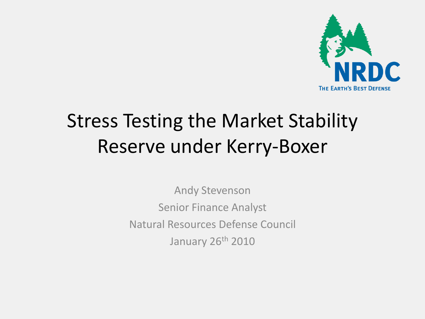

# Stress Testing the Market Stability Reserve under Kerry-Boxer

Andy Stevenson Senior Finance Analyst Natural Resources Defense Council January 26<sup>th</sup> 2010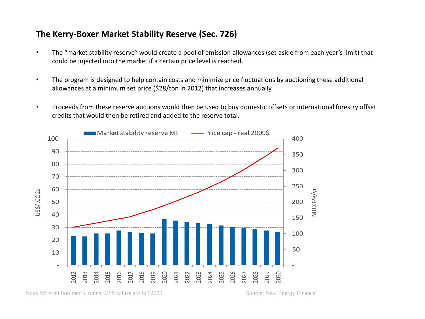## **The Kerry-Boxer Market Stability Reserve (Sec. 726)**

- The "market stability reserve" would create a pool of emission allowances (set aside from each year's limit) that could be injected into the market if a certain price level is reached.
- The program is designed to help contain costs and minimize price fluctuations by auctioning these additional allowances at a minimum set price (\$28/ton in 2012) that increases annually.
- Proceeds from these reserve auctions would then be used to buy domestic offsets or international forestry offset credits that would then be retired and added to the reserve total.

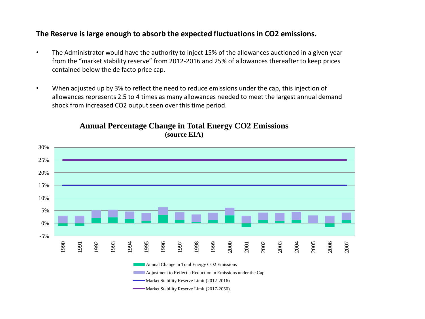#### **The Reserve is large enough to absorb the expected fluctuations in CO2 emissions.**

- The Administrator would have the authority to inject 15% of the allowances auctioned in a given year from the "market stability reserve" from 2012-2016 and 25% of allowances thereafter to keep prices contained below the de facto price cap.
- When adjusted up by 3% to reflect the need to reduce emissions under the cap, this injection of allowances represents 2.5 to 4 times as many allowances needed to meet the largest annual demand shock from increased CO2 output seen over this time period.



#### **Annual Percentage Change in Total Energy CO2 Emissions (source EIA)**

Annual Change in Total Energy CO2 Emissions

Adjustment to Reflect a Reduction in Emissions under the Cap

Market Stability Reserve Limit (2012-2016)

Market Stability Reserve Limit (2017-2050)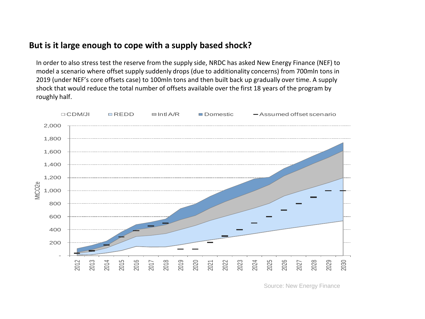## **But is it large enough to cope with a supply based shock?**

In order to also stress test the reserve from the supply side, NRDC has asked New Energy Finance (NEF) to model a scenario where offset supply suddenly drops (due to additionality concerns) from 700mln tons in 2019 (under NEF's core offsets case) to 100mln tons and then built back up gradually over time. A supply shock that would reduce the total number of offsets available over the first 18 years of the program by roughly half.



Source: New Energy Finance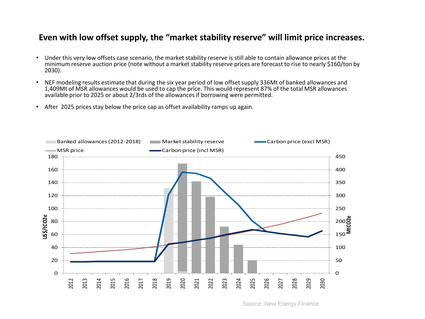### **Even with low offset supply, the "market stability reserve" will limit price increases.**

- Under this very low offsets case scenario, the market stability reserve is still able to contain allowance prices at the minimum reserve auction price (note without a market stability reserve prices are forecast to rise to nearly \$160/ton by 2030)..
- NEF modeling results estimate that during the six year period of low offset supply 336Mt of banked allowances and 1,409Mt of MSR allowances would be used to cap the price. This would represent 87% of the total MSR allowances available prior to 2025 or about 2/3rds of the allowances if borrowing were permitted.
- After 2025 prices stay below the price cap as offset availability ramps up again.

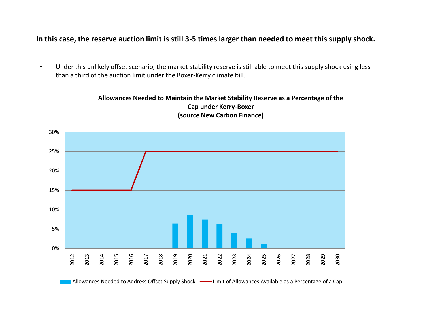#### **In this case, the reserve auction limit is still 3-5 times larger than needed to meet this supply shock.**

• Under this unlikely offset scenario, the market stability reserve is still able to meet this supply shock using less than a third of the auction limit under the Boxer-Kerry climate bill.





Allowances Needed to Address Offset Supply Shock - Limit of Allowances Available as a Percentage of a Cap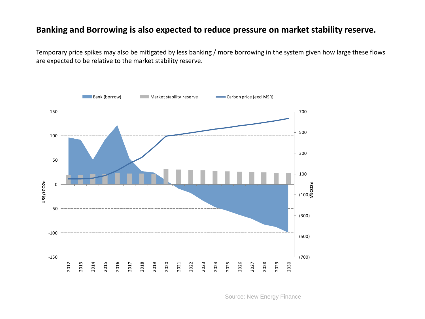### **Banking and Borrowing is also expected to reduce pressure on market stability reserve.**

Temporary price spikes may also be mitigated by less banking / more borrowing in the system given how large these flows are expected to be relative to the market stability reserve.